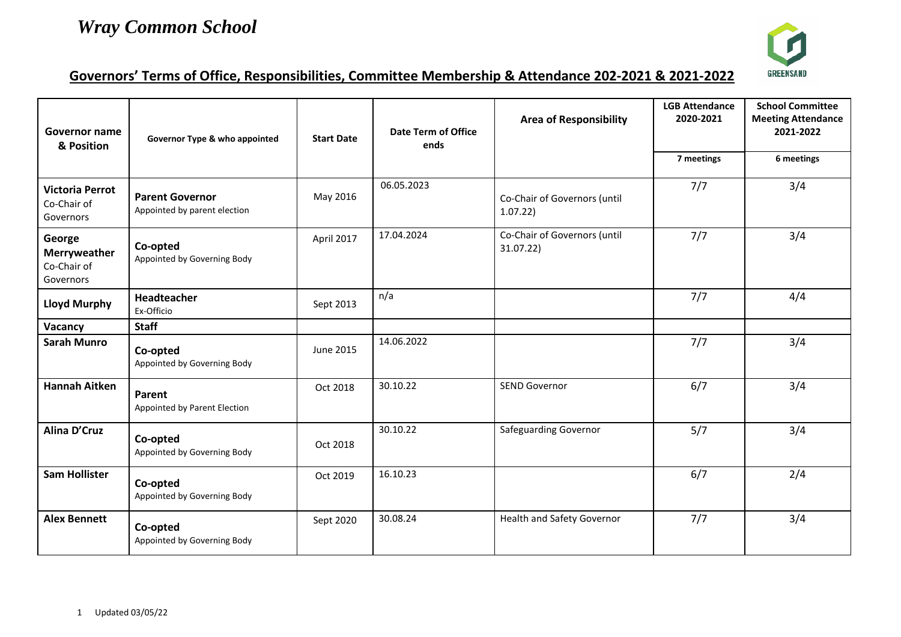

## **Governors' Terms of Office, Responsibilities, Committee Membership & Attendance 202-2021 & 2021-2022**

| Governor name<br>& Position                        | Governor Type & who appointed                          | <b>Start Date</b> | <b>Date Term of Office</b><br>ends | <b>Area of Responsibility</b>             | <b>LGB Attendance</b><br>2020-2021 | <b>School Committee</b><br><b>Meeting Attendance</b><br>2021-2022 |
|----------------------------------------------------|--------------------------------------------------------|-------------------|------------------------------------|-------------------------------------------|------------------------------------|-------------------------------------------------------------------|
|                                                    |                                                        |                   |                                    |                                           | 7 meetings                         | 6 meetings                                                        |
| <b>Victoria Perrot</b><br>Co-Chair of<br>Governors | <b>Parent Governor</b><br>Appointed by parent election | May 2016          | 06.05.2023                         | Co-Chair of Governors (until<br>1.07.22   | 7/7                                | 3/4                                                               |
| George<br>Merryweather<br>Co-Chair of<br>Governors | Co-opted<br>Appointed by Governing Body                | April 2017        | 17.04.2024                         | Co-Chair of Governors (until<br>31.07.22) | 7/7                                | 3/4                                                               |
| <b>Lloyd Murphy</b>                                | Headteacher<br>Ex-Officio                              | Sept 2013         | n/a                                |                                           | 7/7                                | 4/4                                                               |
| Vacancy                                            | <b>Staff</b>                                           |                   |                                    |                                           |                                    |                                                                   |
| <b>Sarah Munro</b>                                 | Co-opted<br>Appointed by Governing Body                | June 2015         | 14.06.2022                         |                                           | 7/7                                | 3/4                                                               |
| <b>Hannah Aitken</b>                               | Parent<br>Appointed by Parent Election                 | Oct 2018          | 30.10.22                           | <b>SEND Governor</b>                      | 6/7                                | 3/4                                                               |
| Alina D'Cruz                                       | Co-opted<br>Appointed by Governing Body                | Oct 2018          | 30.10.22                           | Safeguarding Governor                     | 5/7                                | 3/4                                                               |
| <b>Sam Hollister</b>                               | Co-opted<br>Appointed by Governing Body                | Oct 2019          | 16.10.23                           |                                           | 6/7                                | 2/4                                                               |
| <b>Alex Bennett</b>                                | Co-opted<br>Appointed by Governing Body                | Sept 2020         | 30.08.24                           | Health and Safety Governor                | 7/7                                | 3/4                                                               |